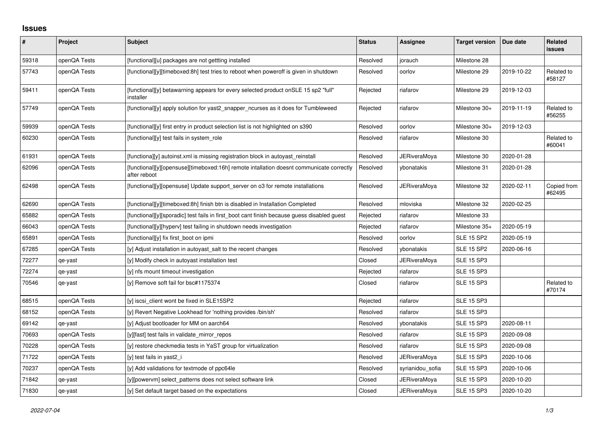## **Issues**

| #     | Project      | Subject                                                                                                  | <b>Status</b> | Assignee            | <b>Target version</b> | Due date   | Related<br><b>issues</b> |
|-------|--------------|----------------------------------------------------------------------------------------------------------|---------------|---------------------|-----------------------|------------|--------------------------|
| 59318 | openQA Tests | [functional][u] packages are not gettting installed                                                      | Resolved      | jorauch             | Milestone 28          |            |                          |
| 57743 | openQA Tests | [functional][y][timeboxed:8h] test tries to reboot when poweroff is given in shutdown                    | Resolved      | oorlov              | Milestone 29          | 2019-10-22 | Related to<br>#58127     |
| 59411 | openQA Tests | [functional][y] betawarning appears for every selected product onSLE 15 sp2 "full"<br>installer          | Rejected      | riafarov            | Milestone 29          | 2019-12-03 |                          |
| 57749 | openQA Tests | [functional][y] apply solution for yast2_snapper_ncurses as it does for Tumbleweed                       | Rejected      | riafarov            | Milestone 30+         | 2019-11-19 | Related to<br>#56255     |
| 59939 | openQA Tests | [functional][y] first entry in product selection list is not highlighted on s390                         | Resolved      | oorlov              | Milestone 30+         | 2019-12-03 |                          |
| 60230 | openQA Tests | [functional][y] test fails in system role                                                                | Resolved      | riafarov            | Milestone 30          |            | Related to<br>#60041     |
| 61931 | openQA Tests | [functiona][y] autoinst.xml is missing registration block in autoyast reinstall                          | Resolved      | JERiveraMoya        | Milestone 30          | 2020-01-28 |                          |
| 62096 | openQA Tests | [functional][y][opensuse][timeboxed:16h] remote intallation doesnt communicate correctly<br>after reboot | Resolved      | ybonatakis          | Milestone 31          | 2020-01-28 |                          |
| 62498 | openQA Tests | [functional][y][opensuse] Update support_server on o3 for remote installations                           | Resolved      | JERiveraMoya        | Milestone 32          | 2020-02-11 | Copied from<br>#62495    |
| 62690 | openQA Tests | [functional][y][timeboxed:8h] finish btn is disabled in Installation Completed                           | Resolved      | mloviska            | Milestone 32          | 2020-02-25 |                          |
| 65882 | openQA Tests | [functional][y][sporadic] test fails in first boot cant finish because guess disabled guest              | Rejected      | riafarov            | Milestone 33          |            |                          |
| 66043 | openQA Tests | [functional][y][hyperv] test failing in shutdown needs investigation                                     | Rejected      | riafarov            | Milestone 35+         | 2020-05-19 |                          |
| 65891 | openQA Tests | [functional][y] fix first_boot on ipmi                                                                   | Resolved      | oorlov              | <b>SLE 15 SP2</b>     | 2020-05-19 |                          |
| 67285 | openQA Tests | [y] Adjust installation in autoyast_salt to the recent changes                                           | Resolved      | ybonatakis          | <b>SLE 15 SP2</b>     | 2020-06-16 |                          |
| 72277 | qe-yast      | [y] Modify check in autoyast installation test                                                           | Closed        | <b>JERiveraMoya</b> | <b>SLE 15 SP3</b>     |            |                          |
| 72274 | qe-yast      | [y] nfs mount timeout investigation                                                                      | Rejected      | riafarov            | <b>SLE 15 SP3</b>     |            |                          |
| 70546 | qe-yast      | [y] Remove soft fail for bsc#1175374                                                                     | Closed        | riafarov            | <b>SLE 15 SP3</b>     |            | Related to<br>#70174     |
| 68515 | openQA Tests | [y] iscsi client wont be fixed in SLE15SP2                                                               | Rejected      | riafarov            | <b>SLE 15 SP3</b>     |            |                          |
| 68152 | openQA Tests | [y] Revert Negative Lookhead for 'nothing provides /bin/sh'                                              | Resolved      | riafarov            | <b>SLE 15 SP3</b>     |            |                          |
| 69142 | qe-yast      | [y] Adjust bootloader for MM on aarch64                                                                  | Resolved      | vbonatakis          | <b>SLE 15 SP3</b>     | 2020-08-11 |                          |
| 70693 | openQA Tests | [y][fast] test fails in validate_mirror_repos                                                            | Resolved      | riafarov            | <b>SLE 15 SP3</b>     | 2020-09-08 |                          |
| 70228 | openQA Tests | [y] restore checkmedia tests in YaST group for virtualization                                            | Resolved      | riafarov            | <b>SLE 15 SP3</b>     | 2020-09-08 |                          |
| 71722 | openQA Tests | [y] test fails in yast2 i                                                                                | Resolved      | JERiveraMoya        | <b>SLE 15 SP3</b>     | 2020-10-06 |                          |
| 70237 | openQA Tests | [y] Add validations for textmode of ppc64le                                                              | Resolved      | syrianidou sofia    | <b>SLE 15 SP3</b>     | 2020-10-06 |                          |
| 71842 | qe-yast      | [y][powervm] select patterns does not select software link                                               | Closed        | JERiveraMoya        | <b>SLE 15 SP3</b>     | 2020-10-20 |                          |
| 71830 | qe-yast      | [y] Set default target based on the expectations                                                         | Closed        | <b>JERiveraMova</b> | <b>SLE 15 SP3</b>     | 2020-10-20 |                          |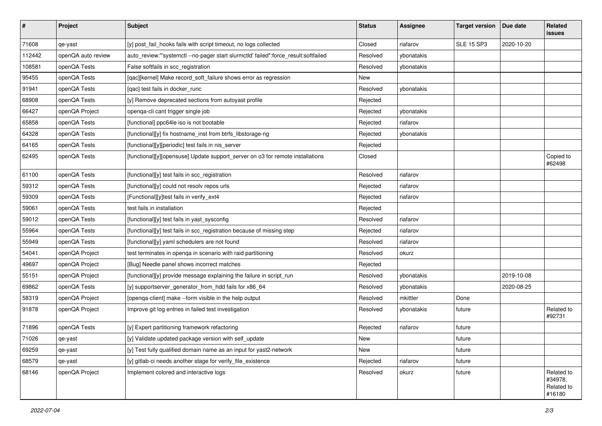| $\vert$ # | Project            | <b>Subject</b>                                                                      | <b>Status</b> | <b>Assignee</b> | <b>Target version</b> | Due date   | Related<br><b>issues</b>                      |
|-----------|--------------------|-------------------------------------------------------------------------------------|---------------|-----------------|-----------------------|------------|-----------------------------------------------|
| 71608     | qe-yast            | [y] post_fail_hooks fails with script timeout, no logs collected                    | Closed        | riafarov        | <b>SLE 15 SP3</b>     | 2020-10-20 |                                               |
| 112442    | openQA auto review | auto_review:"'systemctl --no-pager start slurmctld' failed":force_result:softfailed | Resolved      | ybonatakis      |                       |            |                                               |
| 108581    | openQA Tests       | False softfails in scc_registration                                                 | Resolved      | ybonatakis      |                       |            |                                               |
| 95455     | openQA Tests       | [qac][kernel] Make record_soft_failure shows error as regression                    | New           |                 |                       |            |                                               |
| 91941     | openQA Tests       | [qac] test fails in docker_runc                                                     | Resolved      | ybonatakis      |                       |            |                                               |
| 68908     | openQA Tests       | [y] Remove deprecated sections from autoyast profile                                | Rejected      |                 |                       |            |                                               |
| 66427     | openQA Project     | openqa-cli cant trigger single job                                                  | Rejected      | ybonatakis      |                       |            |                                               |
| 65858     | openQA Tests       | [functional] ppc64le iso is not bootable                                            | Rejected      | riafarov        |                       |            |                                               |
| 64328     | openQA Tests       | [functional][y] fix hostname_inst from btrfs_libstorage-ng                          | Rejected      | ybonatakis      |                       |            |                                               |
| 64165     | openQA Tests       | [functional][y][periodic] test fails in nis_server                                  | Rejected      |                 |                       |            |                                               |
| 62495     | openQA Tests       | [functional][y][opensuse] Update support_server on o3 for remote installations      | Closed        |                 |                       |            | Copied to<br>#62498                           |
| 61100     | openQA Tests       | [functional][y] test fails in scc_registration                                      | Resolved      | riafarov        |                       |            |                                               |
| 59312     | openQA Tests       | [functional][y] could not resolv repos urls                                         | Rejected      | riafarov        |                       |            |                                               |
| 59309     | openQA Tests       | [Functional][y]test fails in verify_ext4                                            | Rejected      | riafarov        |                       |            |                                               |
| 59061     | openQA Tests       | test fails in installation                                                          | Rejected      |                 |                       |            |                                               |
| 59012     | openQA Tests       | [functional][y] test fails in yast_sysconfig                                        | Resolved      | riafarov        |                       |            |                                               |
| 55964     | openQA Tests       | [functional][y] test fails in scc_registration because of missing step              | Rejected      | riafarov        |                       |            |                                               |
| 55949     | openQA Tests       | [functional][y] yaml schedulers are not found                                       | Resolved      | riafarov        |                       |            |                                               |
| 54041     | openQA Project     | test terminates in openqa in scenario with raid partitioning                        | Resolved      | okurz           |                       |            |                                               |
| 49697     | openQA Project     | [Bug] Needle panel shows incorrect matches                                          | Rejected      |                 |                       |            |                                               |
| 55151     | openQA Project     | [functional][y] provide message explaining the failure in script_run                | Resolved      | ybonatakis      |                       | 2019-10-08 |                                               |
| 69862     | openQA Tests       | [y] supportserver_generator_from_hdd fails for x86_64                               | Resolved      | ybonatakis      |                       | 2020-08-25 |                                               |
| 58319     | openQA Project     | [openqa-client] make --form visible in the help output                              | Resolved      | mkittler        | Done                  |            |                                               |
| 91878     | openQA Project     | Improve git log entries in failed test investigation                                | Resolved      | ybonatakis      | future                |            | Related to<br>#92731                          |
| 71896     | openQA Tests       | [y] Expert partitioning framework refactoring                                       | Rejected      | riafarov        | future                |            |                                               |
| 71026     | qe-yast            | [y] Validate updated package version with self_update                               | New           |                 | future                |            |                                               |
| 69259     | qe-yast            | [y] Test fully qualified domain name as an input for yast2-network                  | New           |                 | future                |            |                                               |
| 68579     | qe-yast            | [y] gitlab-ci needs another stage for verify_file_existence                         | Rejected      | riafarov        | future                |            |                                               |
| 68146     | openQA Project     | Implement colored and interactive logs                                              | Resolved      | okurz           | future                |            | Related to<br>#34978,<br>Related to<br>#16180 |